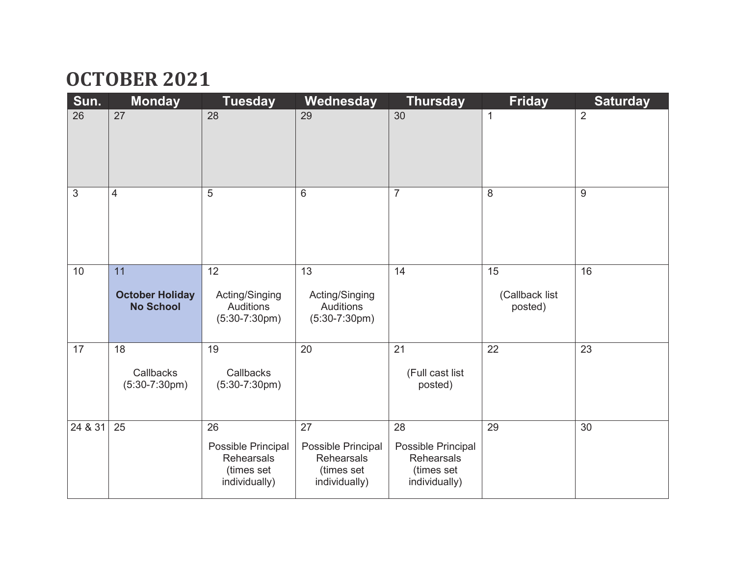### **OCTOBER 2021**

| Sun.           | <b>Monday</b>                                    | <b>Tuesday</b>                                                               | Wednesday                                                             | <b>Thursday</b>                                                       | <b>Friday</b>                   | <b>Saturday</b>  |
|----------------|--------------------------------------------------|------------------------------------------------------------------------------|-----------------------------------------------------------------------|-----------------------------------------------------------------------|---------------------------------|------------------|
| 26             | 27                                               | 28                                                                           | 29                                                                    | 30                                                                    | $\mathbf{1}$                    | $\overline{2}$   |
| $\mathfrak{S}$ | 4                                                | 5                                                                            | $6\phantom{1}6$                                                       | $\overline{7}$                                                        | 8                               | $\boldsymbol{9}$ |
| 10             | 11<br><b>October Holiday</b><br><b>No School</b> | 12<br>Acting/Singing<br><b>Auditions</b><br>$(5:30-7:30pm)$                  | 13<br>Acting/Singing<br><b>Auditions</b><br>$(5:30-7:30pm)$           | 14                                                                    | 15<br>(Callback list<br>posted) | 16               |
| 17             | 18<br>Callbacks<br>$(5:30-7:30pm)$               | 19<br>Callbacks<br>$(5:30-7:30pm)$                                           | 20                                                                    | 21<br>(Full cast list<br>posted)                                      | 22                              | 23               |
| 24 & 31        | 25                                               | 26<br>Possible Principal<br><b>Rehearsals</b><br>(times set<br>individually) | 27<br>Possible Principal<br>Rehearsals<br>(times set<br>individually) | 28<br>Possible Principal<br>Rehearsals<br>(times set<br>individually) | 29                              | 30               |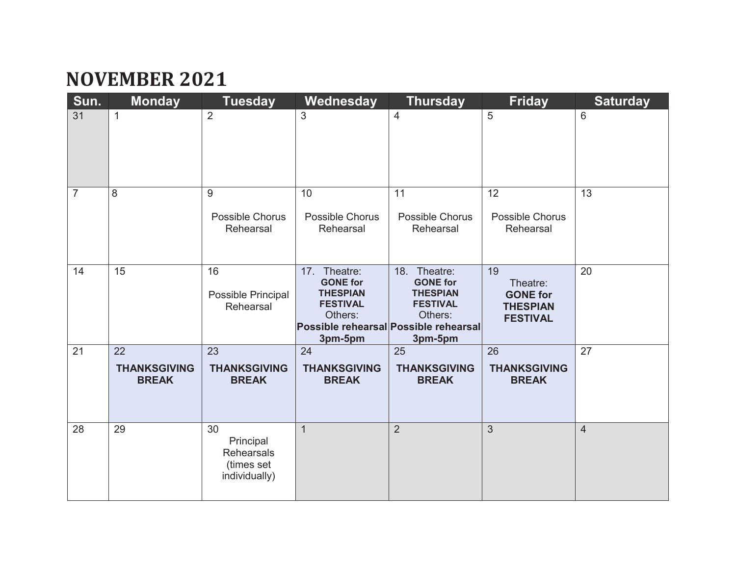## **NOVEMBER 2021**

| Sun.           | <b>Monday</b>                             | <b>Tuesday</b>                                                      | Wednesday                                                                                      | <b>Thursday</b>                                                                                                                      | <b>Friday</b>                                                           | <b>Saturday</b> |
|----------------|-------------------------------------------|---------------------------------------------------------------------|------------------------------------------------------------------------------------------------|--------------------------------------------------------------------------------------------------------------------------------------|-------------------------------------------------------------------------|-----------------|
| 31             | $\mathbf{1}$                              | $\overline{2}$                                                      | 3                                                                                              | $\overline{4}$                                                                                                                       | 5                                                                       | 6               |
| $\overline{7}$ | 8                                         | 9<br><b>Possible Chorus</b><br>Rehearsal                            | 10<br><b>Possible Chorus</b><br>Rehearsal                                                      | 11<br>Possible Chorus<br>Rehearsal                                                                                                   | 12<br>Possible Chorus<br>Rehearsal                                      | 13              |
| 14             | 15                                        | 16<br>Possible Principal<br>Rehearsal                               | Theatre:<br>17.<br><b>GONE for</b><br><b>THESPIAN</b><br><b>FESTIVAL</b><br>Others:<br>3pm-5pm | 18. Theatre:<br><b>GONE for</b><br><b>THESPIAN</b><br><b>FESTIVAL</b><br>Others:<br>Possible rehearsal Possible rehearsal<br>3pm-5pm | 19<br>Theatre:<br><b>GONE for</b><br><b>THESPIAN</b><br><b>FESTIVAL</b> | 20              |
| 21             | 22<br><b>THANKSGIVING</b><br><b>BREAK</b> | 23<br><b>THANKSGIVING</b><br><b>BREAK</b>                           | 24<br><b>THANKSGIVING</b><br><b>BREAK</b>                                                      | 25<br><b>THANKSGIVING</b><br><b>BREAK</b>                                                                                            | 26<br><b>THANKSGIVING</b><br><b>BREAK</b>                               | 27              |
| 28             | 29                                        | 30<br>Principal<br><b>Rehearsals</b><br>(times set<br>individually) | $\mathbf{1}$                                                                                   | $\overline{2}$                                                                                                                       | 3                                                                       | $\overline{4}$  |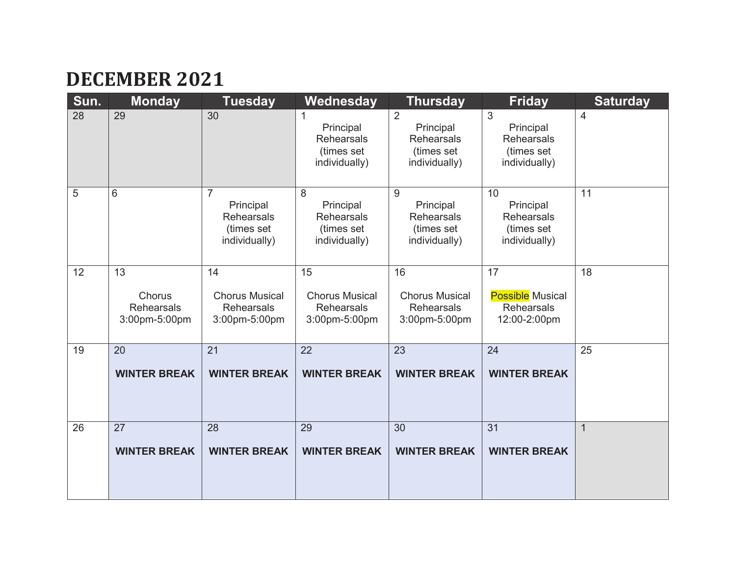## **DECEMBER 2021**

| Sun. | <b>Monday</b>                                      | <b>Tuesday</b>                                                                  | Wednesday                                                          | <b>Thursday</b>                                                                 | <b>Friday</b>                                                       | <b>Saturday</b> |
|------|----------------------------------------------------|---------------------------------------------------------------------------------|--------------------------------------------------------------------|---------------------------------------------------------------------------------|---------------------------------------------------------------------|-----------------|
| 28   | 29                                                 | 30                                                                              | Principal<br><b>Rehearsals</b><br>(times set<br>individually)      | $\overline{2}$<br>Principal<br><b>Rehearsals</b><br>(times set<br>individually) | 3<br>Principal<br><b>Rehearsals</b><br>(times set<br>individually)  | 4               |
| 5    | 6                                                  | $\overline{7}$<br>Principal<br><b>Rehearsals</b><br>(times set<br>individually) | 8<br>Principal<br><b>Rehearsals</b><br>(times set<br>individually) | 9<br>Principal<br><b>Rehearsals</b><br>(times set<br>individually)              | 10<br>Principal<br><b>Rehearsals</b><br>(times set<br>individually) | 11              |
| 12   | 13<br>Chorus<br><b>Rehearsals</b><br>3:00pm-5:00pm | 14<br><b>Chorus Musical</b><br><b>Rehearsals</b><br>3:00pm-5:00pm               | 15<br><b>Chorus Musical</b><br><b>Rehearsals</b><br>3:00pm-5:00pm  | 16<br><b>Chorus Musical</b><br><b>Rehearsals</b><br>3:00pm-5:00pm               | 17<br><b>Possible Musical</b><br><b>Rehearsals</b><br>12:00-2:00pm  | 18              |
| 19   | 20<br><b>WINTER BREAK</b>                          | 21<br><b>WINTER BREAK</b>                                                       | 22<br><b>WINTER BREAK</b>                                          | 23<br><b>WINTER BREAK</b>                                                       | 24<br><b>WINTER BREAK</b>                                           | 25              |
| 26   | 27<br><b>WINTER BREAK</b>                          | 28<br><b>WINTER BREAK</b>                                                       | 29<br><b>WINTER BREAK</b>                                          | 30<br><b>WINTER BREAK</b>                                                       | 31<br><b>WINTER BREAK</b>                                           | $\overline{1}$  |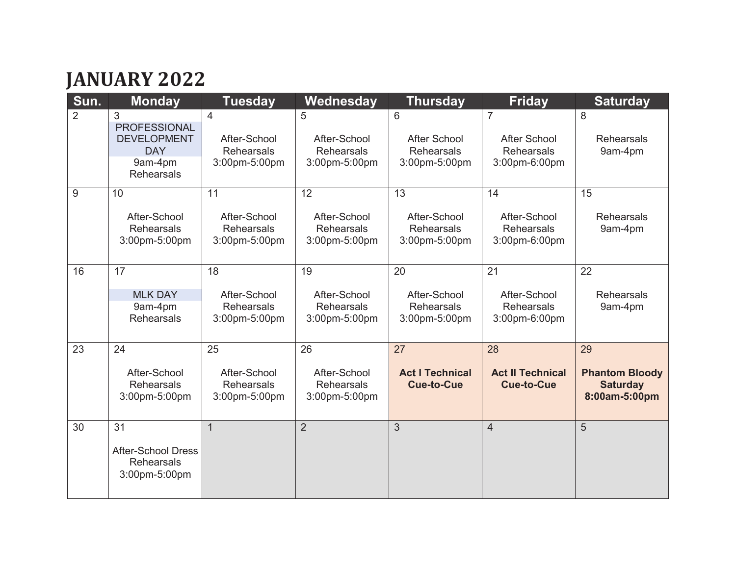# **JANUARY 2022**

| Sun.           | <b>Monday</b>                                                                                | <b>Tuesday</b>                                           | Wednesday                                                | <b>Thursday</b>                                                | <b>Friday</b>                                                               | <b>Saturday</b>                                                 |
|----------------|----------------------------------------------------------------------------------------------|----------------------------------------------------------|----------------------------------------------------------|----------------------------------------------------------------|-----------------------------------------------------------------------------|-----------------------------------------------------------------|
| $\overline{2}$ | 3<br><b>PROFESSIONAL</b><br><b>DEVELOPMENT</b><br><b>DAY</b><br>9am-4pm<br><b>Rehearsals</b> | 4<br>After-School<br><b>Rehearsals</b><br>3:00pm-5:00pm  | 5<br>After-School<br><b>Rehearsals</b><br>3:00pm-5:00pm  | 6<br><b>After School</b><br><b>Rehearsals</b><br>3:00pm-5:00pm | $\overline{7}$<br><b>After School</b><br><b>Rehearsals</b><br>3:00pm-6:00pm | 8<br><b>Rehearsals</b><br>9am-4pm                               |
| 9              | 10<br>After-School<br><b>Rehearsals</b><br>3:00pm-5:00pm                                     | 11<br>After-School<br><b>Rehearsals</b><br>3:00pm-5:00pm | 12<br>After-School<br><b>Rehearsals</b><br>3:00pm-5:00pm | 13<br>After-School<br><b>Rehearsals</b><br>3:00pm-5:00pm       | 14<br>After-School<br><b>Rehearsals</b><br>3:00pm-6:00pm                    | 15<br><b>Rehearsals</b><br>9am-4pm                              |
| 16             | 17<br><b>MLK DAY</b><br>9am-4pm<br><b>Rehearsals</b>                                         | 18<br>After-School<br><b>Rehearsals</b><br>3:00pm-5:00pm | 19<br>After-School<br><b>Rehearsals</b><br>3:00pm-5:00pm | 20<br>After-School<br><b>Rehearsals</b><br>3:00pm-5:00pm       | 21<br>After-School<br><b>Rehearsals</b><br>3:00pm-6:00pm                    | 22<br><b>Rehearsals</b><br>9am-4pm                              |
| 23             | 24<br>After-School<br><b>Rehearsals</b><br>3:00pm-5:00pm                                     | 25<br>After-School<br><b>Rehearsals</b><br>3:00pm-5:00pm | 26<br>After-School<br><b>Rehearsals</b><br>3:00pm-5:00pm | 27<br><b>Act I Technical</b><br><b>Cue-to-Cue</b>              | 28<br><b>Act II Technical</b><br><b>Cue-to-Cue</b>                          | 29<br><b>Phantom Bloody</b><br><b>Saturday</b><br>8:00am-5:00pm |
| 30             | 31<br><b>After-School Dress</b><br>Rehearsals<br>3:00pm-5:00pm                               | $\mathbf{1}$                                             | $\overline{2}$                                           | 3                                                              | $\overline{4}$                                                              | 5                                                               |